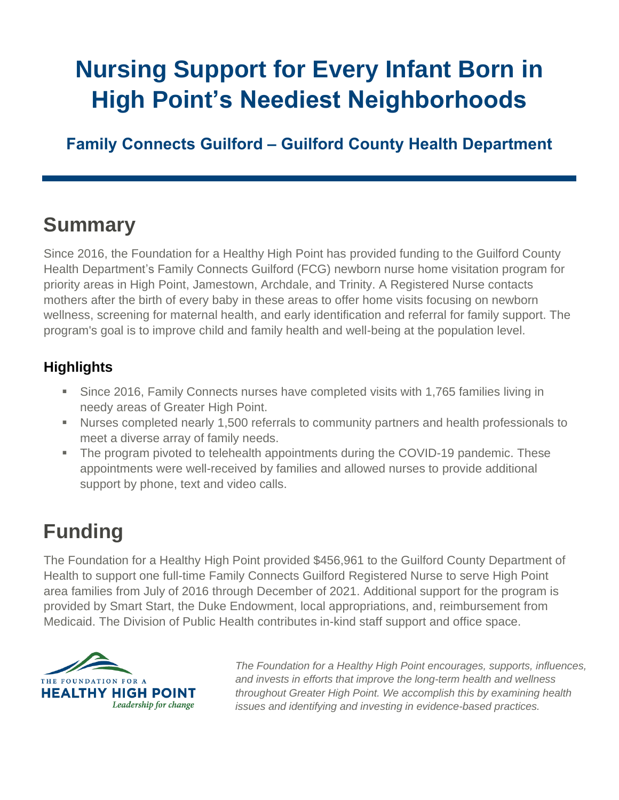# **Nursing Support for Every Infant Born in High Point's Neediest Neighborhoods**

**Family Connects Guilford – Guilford County Health Department**

### **Summary**

Since 2016, the Foundation for a Healthy High Point has provided funding to the Guilford County Health Department's Family Connects Guilford (FCG) newborn nurse home visitation program for priority areas in High Point, Jamestown, Archdale, and Trinity. A Registered Nurse contacts mothers after the birth of every baby in these areas to offer home visits focusing on newborn wellness, screening for maternal health, and early identification and referral for family support. The program's goal is to improve child and family health and well-being at the population level.

#### **Highlights**

- **E** Since 2016, Family Connects nurses have completed visits with 1,765 families living in needy areas of Greater High Point.
- Nurses completed nearly 1,500 referrals to community partners and health professionals to meet a diverse array of family needs.
- The program pivoted to telehealth appointments during the COVID-19 pandemic. These appointments were well-received by families and allowed nurses to provide additional support by phone, text and video calls.

## **Funding**

The Foundation for a Healthy High Point provided \$456,961 to the Guilford County Department of Health to support one full-time Family Connects Guilford Registered Nurse to serve High Point area families from July of 2016 through December of 2021. Additional support for the program is provided by Smart Start, the Duke Endowment, local appropriations, and, reimbursement from Medicaid. The Division of Public Health contributes in-kind staff support and office space.



*The Foundation for a Healthy High Point encourages, supports, influences, and invests in efforts that improve the long-term health and wellness throughout Greater High Point. We accomplish this by examining health issues and identifying and investing in evidence-based practices.*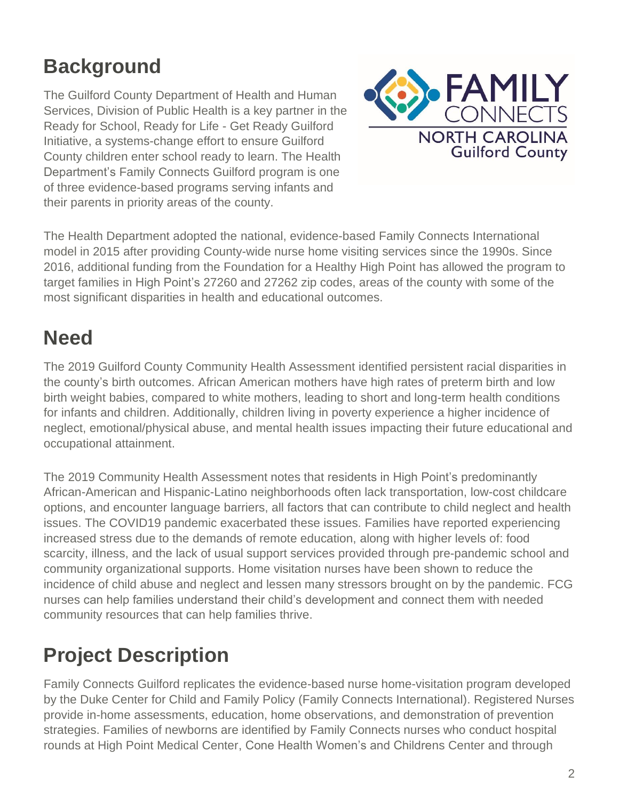## **Background**

The Guilford County Department of Health and Human Services, Division of Public Health is a key partner in the Ready for School, Ready for Life - Get Ready Guilford Initiative, a systems-change effort to ensure Guilford County children enter school ready to learn. The Health Department's Family Connects Guilford program is one of three evidence-based programs serving infants and their parents in priority areas of the county.



The Health Department adopted the national, evidence-based Family Connects International model in 2015 after providing County-wide nurse home visiting services since the 1990s. Since 2016, additional funding from the Foundation for a Healthy High Point has allowed the program to target families in High Point's 27260 and 27262 zip codes, areas of the county with some of the most significant disparities in health and educational outcomes.

#### **Need**

The 2019 Guilford County Community Health Assessment identified persistent racial disparities in the county's birth outcomes. African American mothers have high rates of preterm birth and low birth weight babies, compared to white mothers, leading to short and long-term health conditions for infants and children. Additionally, children living in poverty experience a higher incidence of neglect, emotional/physical abuse, and mental health issues impacting their future educational and occupational attainment.

The 2019 Community Health Assessment notes that residents in High Point's predominantly African-American and Hispanic-Latino neighborhoods often lack transportation, low-cost childcare options, and encounter language barriers, all factors that can contribute to child neglect and health issues. The COVID19 pandemic exacerbated these issues. Families have reported experiencing increased stress due to the demands of remote education, along with higher levels of: food scarcity, illness, and the lack of usual support services provided through pre-pandemic school and community organizational supports. Home visitation nurses have been shown to reduce the incidence of child abuse and neglect and lessen many stressors brought on by the pandemic. FCG nurses can help families understand their child's development and connect them with needed community resources that can help families thrive.

## **Project Description**

Family Connects Guilford replicates the evidence-based nurse home-visitation program developed by the Duke Center for Child and Family Policy (Family Connects International). Registered Nurses provide in-home assessments, education, home observations, and demonstration of prevention strategies. Families of newborns are identified by Family Connects nurses who conduct hospital rounds at High Point Medical Center, Cone Health Women's and Childrens Center and through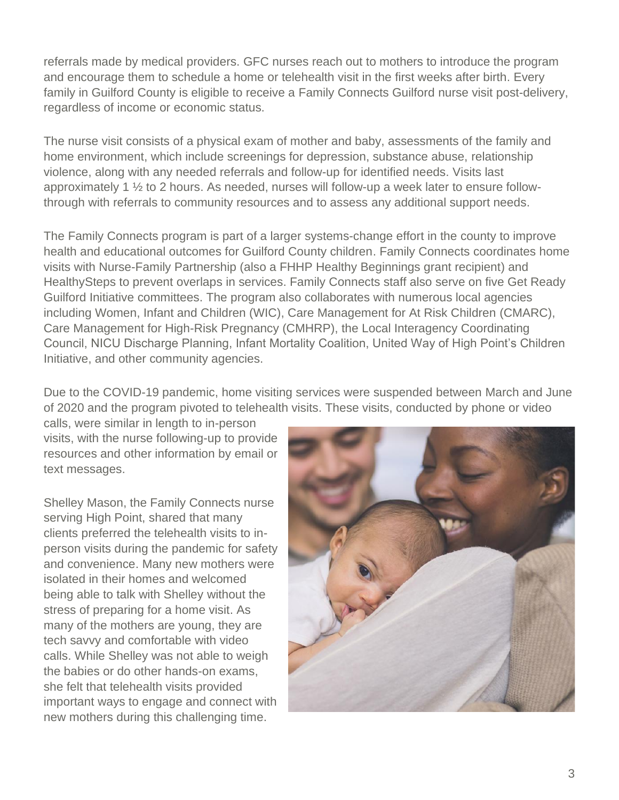referrals made by medical providers. GFC nurses reach out to mothers to introduce the program and encourage them to schedule a home or telehealth visit in the first weeks after birth. Every family in Guilford County is eligible to receive a Family Connects Guilford nurse visit post-delivery, regardless of income or economic status.

The nurse visit consists of a physical exam of mother and baby, assessments of the family and home environment, which include screenings for depression, substance abuse, relationship violence, along with any needed referrals and follow-up for identified needs. Visits last approximately 1 ½ to 2 hours. As needed, nurses will follow-up a week later to ensure followthrough with referrals to community resources and to assess any additional support needs.

The Family Connects program is part of a larger systems-change effort in the county to improve health and educational outcomes for Guilford County children. Family Connects coordinates home visits with Nurse-Family Partnership (also a FHHP Healthy Beginnings grant recipient) and HealthySteps to prevent overlaps in services. Family Connects staff also serve on five Get Ready Guilford Initiative committees. The program also collaborates with numerous local agencies including Women, Infant and Children (WIC), Care Management for At Risk Children (CMARC), Care Management for High-Risk Pregnancy (CMHRP), the Local Interagency Coordinating Council, NICU Discharge Planning, Infant Mortality Coalition, United Way of High Point's Children Initiative, and other community agencies.

Due to the COVID-19 pandemic, home visiting services were suspended between March and June of 2020 and the program pivoted to telehealth visits. These visits, conducted by phone or video

calls, were similar in length to in-person visits, with the nurse following-up to provide resources and other information by email or text messages.

Shelley Mason, the Family Connects nurse serving High Point, shared that many clients preferred the telehealth visits to inperson visits during the pandemic for safety and convenience. Many new mothers were isolated in their homes and welcomed being able to talk with Shelley without the stress of preparing for a home visit. As many of the mothers are young, they are tech savvy and comfortable with video calls. While Shelley was not able to weigh the babies or do other hands-on exams, she felt that telehealth visits provided important ways to engage and connect with new mothers during this challenging time.

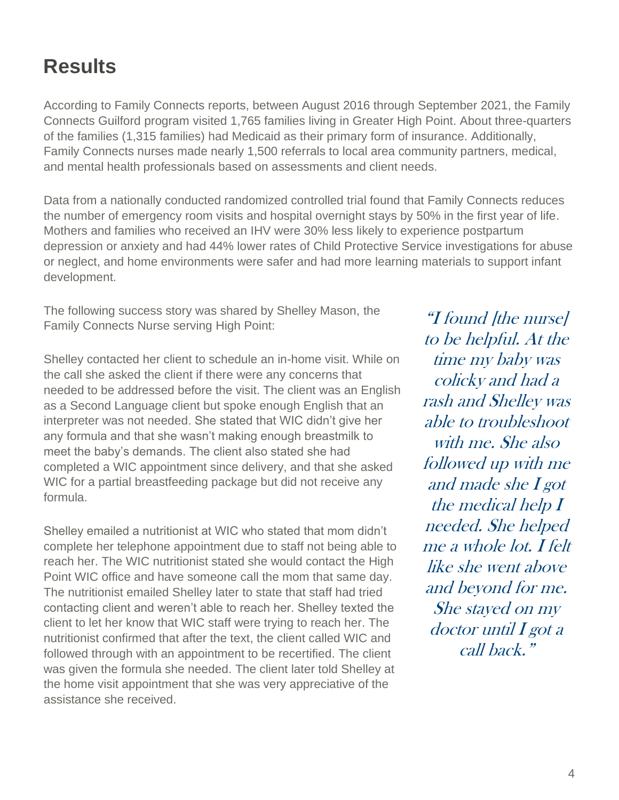#### **Results**

According to Family Connects reports, between August 2016 through September 2021, the Family Connects Guilford program visited 1,765 families living in Greater High Point. About three-quarters of the families (1,315 families) had Medicaid as their primary form of insurance. Additionally, Family Connects nurses made nearly 1,500 referrals to local area community partners, medical, and mental health professionals based on assessments and client needs.

Data from a nationally conducted randomized controlled trial found that Family Connects reduces the number of emergency room visits and hospital overnight stays by 50% in the first year of life. Mothers and families who received an IHV were 30% less likely to experience postpartum depression or anxiety and had 44% lower rates of Child Protective Service investigations for abuse or neglect, and home environments were safer and had more learning materials to support infant development.

The following success story was shared by Shelley Mason, the Family Connects Nurse serving High Point:

Shelley contacted her client to schedule an in-home visit. While on the call she asked the client if there were any concerns that needed to be addressed before the visit. The client was an English as a Second Language client but spoke enough English that an interpreter was not needed. She stated that WIC didn't give her any formula and that she wasn't making enough breastmilk to meet the baby's demands. The client also stated she had completed a WIC appointment since delivery, and that she asked WIC for a partial breastfeeding package but did not receive any formula.

Shelley emailed a nutritionist at WIC who stated that mom didn't complete her telephone appointment due to staff not being able to reach her. The WIC nutritionist stated she would contact the High Point WIC office and have someone call the mom that same day. The nutritionist emailed Shelley later to state that staff had tried contacting client and weren't able to reach her. Shelley texted the client to let her know that WIC staff were trying to reach her. The nutritionist confirmed that after the text, the client called WIC and followed through with an appointment to be recertified. The client was given the formula she needed. The client later told Shelley at the home visit appointment that she was very appreciative of the assistance she received.

"I found [the nurse] to be helpful. At the time my baby was colicky and had a rash and Shelley was able to troubleshoot with me. She also followed up with me and made she I got the medical help I needed. She helped me a whole lot. I felt like she went above and beyond for me. She stayed on my  $doctor$  until  $I$  got a call back."